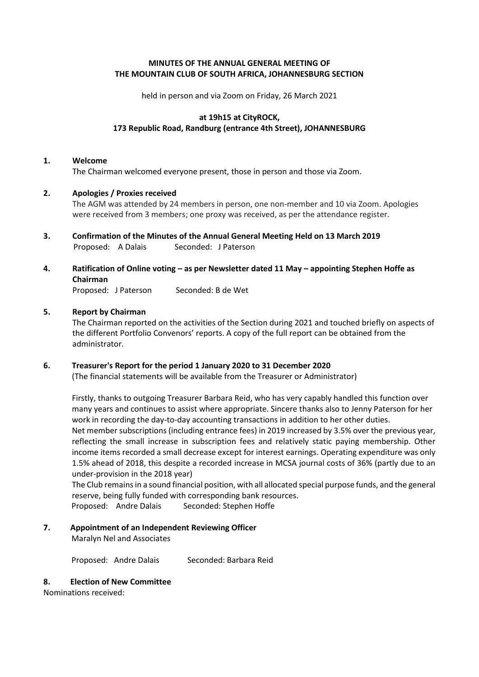# **MINUTES OF THE ANNUAL GENERAL MEETING OF THE MOUNTAIN CLUB OF SOUTH AFRICA, JOHANNESBURG SECTION**

held in person and via Zoom on Friday, 26 March 2021

## **at 19h15 at CityROCK, 173 Republic Road, Randburg (entrance 4th Street), JOHANNESBURG**

#### **1. Welcome**

The Chairman welcomed everyone present, those in person and those via Zoom.

# **2. Apologies / Proxies received**

The AGM was attended by 24 members in person, one non-member and 10 via Zoom. Apologies were received from 3 members; one proxy was received, as per the attendance register.

**3. Confirmation of the Minutes of the Annual General Meeting Held on 13 March 2019** Proposed: A Dalais Seconded: J Paterson

# **4. Ratification of Online voting – as per Newsletter dated 11 May – appointing Stephen Hoffe as Chairman**

Proposed: J Paterson Seconded: B de Wet

# **5. Report by Chairman**

The Chairman reported on the activities of the Section during 2021 and touched briefly on aspects of the different Portfolio Convenors' reports. A copy of the full report can be obtained from the administrator.

#### **6. Treasurer's Report for the period 1 January 2020 to 31 December 2020** (The financial statements will be available from the Treasurer or Administrator)

Firstly, thanks to outgoing Treasurer Barbara Reid, who has very capably handled this function over many years and continues to assist where appropriate. Sincere thanks also to Jenny Paterson for her work in recording the day-to-day accounting transactions in addition to her other duties. Net member subscriptions (including entrance fees) in 2019 increased by 3.5% over the previous year, reflecting the small increase in subscription fees and relatively static paying membership. Other income items recorded a small decrease except for interest earnings. Operating expenditure was only 1.5% ahead of 2018, this despite a recorded increase in MCSA journal costs of 36% (partly due to an under-provision in the 2018 year)

The Club remains in a sound financial position, with all allocated special purpose funds, and the general reserve, being fully funded with corresponding bank resources. Proposed: Andre Dalais Seconded: Stephen Hoffe

# **7. Appointment of an Independent Reviewing Officer**

Maralyn Nel and Associates

Proposed: Andre Dalais Seconded: Barbara Reid

#### **8. Election of New Committee**

Nominations received: